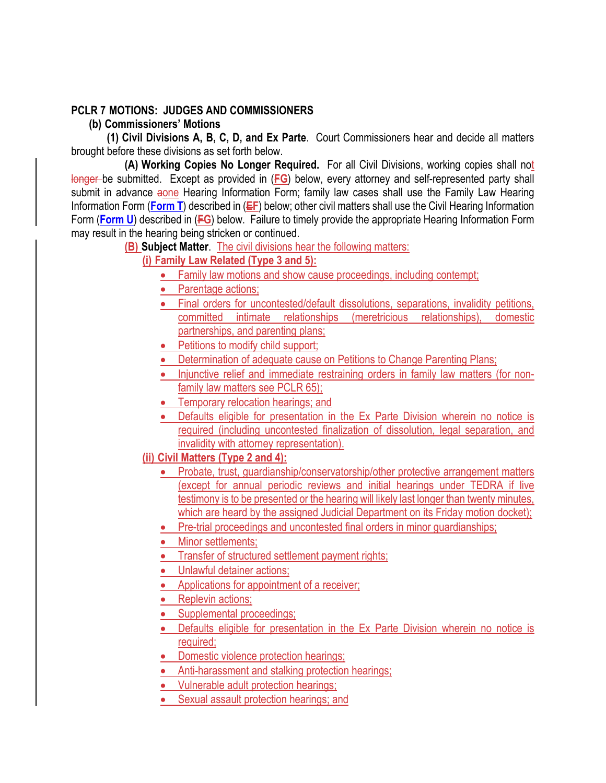# **PCLR 7 MOTIONS: JUDGES AND COMMISSIONERS**

**(b) Commissioners' Motions** 

**(1) Civil Divisions A, B, C, D, and Ex Parte**. Court Commissioners hear and decide all matters brought before these divisions as set forth below.

**(A) Working Copies No Longer Required.** For all Civil Divisions, working copies shall not longer be submitted. Except as provided in (**FG**) below, every attorney and self-represented party shall submit in advance aone Hearing Information Form; family law cases shall use the Family Law Hearing Information Form (**Form T**) described in (**EF**) below; other civil matters shall use the Civil Hearing Information Form (**Form U**) described in (**FG**) below. Failure to timely provide the appropriate Hearing Information Form may result in the hearing being stricken or continued.

**(B) Subject Matter**. The civil divisions hear the following matters:

# **(i) Family Law Related (Type 3 and 5):**

- Family law motions and show cause proceedings, including contempt;
- Parentage actions;
- Final orders for uncontested/default dissolutions, separations, invalidity petitions, committed intimate relationships (meretricious relationships), domestic partnerships, and parenting plans;
- Petitions to modify child support;
- Determination of adequate cause on Petitions to Change Parenting Plans;
- Injunctive relief and immediate restraining orders in family law matters (for nonfamily law matters see PCLR 65);
- Temporary relocation hearings; and
- Defaults eligible for presentation in the Ex Parte Division wherein no notice is required (including uncontested finalization of dissolution, legal separation, and invalidity with attorney representation).
- **(ii) Civil Matters (Type 2 and 4):** 
	- Probate, trust, guardianship/conservatorship/other protective arrangement matters (except for annual periodic reviews and initial hearings under TEDRA if live testimony is to be presented or the hearing will likely last longer than twenty minutes, which are heard by the assigned Judicial Department on its Friday motion docket):
	- Pre-trial proceedings and uncontested final orders in minor quardianships;
	- Minor settlements:
	- Transfer of structured settlement payment rights;
	- Unlawful detainer actions;
	- Applications for appointment of a receiver;
	- Replevin actions;
	- Supplemental proceedings;
	- Defaults eligible for presentation in the Ex Parte Division wherein no notice is required;
	- Domestic violence protection hearings;
	- Anti-harassment and stalking protection hearings:
	- Vulnerable adult protection hearings;
	- Sexual assault protection hearings; and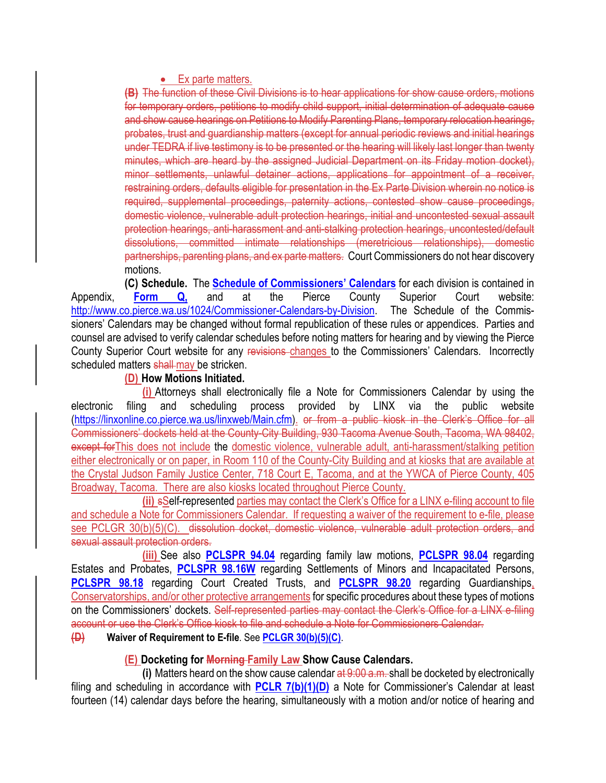#### • Ex parte matters.

**(B)** The function of these Civil Divisions is to hear applications for show cause orders, motions for temporary orders, petitions to modify child support, initial determination of adequate cause and show cause hearings on Petitions to Modify Parenting Plans, temporary relocation hearings, probates, trust and guardianship matters (except for annual periodic reviews and initial hearings under TEDRA if live testimony is to be presented or the hearing will likely last longer than twenty minutes, which are heard by the assigned Judicial Department on its Friday motion docket), minor settlements, unlawful detainer actions, applications for appointment of a receiver, restraining orders, defaults eligible for presentation in the Ex Parte Division wherein no notice is required, supplemental proceedings, paternity actions, contested show cause proceedings, domestic violence, vulnerable adult protection hearings, initial and uncontested sexual assault protection hearings, anti-harassment and anti-stalking protection hearings, uncontested/default dissolutions, committed intimate relationships (meretricious relationships), domestic partnerships, parenting plans, and ex parte matters. Court Commissioners do not hear discovery motions.

**(C) Schedule.** The **Schedule of Commissioners' Calendars** for each division is contained in Appendix, **Form Q,** and at the Pierce County Superior Court website: http://www.co.pierce.wa.us/1024/Commissioner-Calendars-by-Division. The Schedule of the Commissioners' Calendars may be changed without formal republication of these rules or appendices. Parties and counsel are advised to verify calendar schedules before noting matters for hearing and by viewing the Pierce County Superior Court website for any revisions changes to the Commissioners' Calendars. Incorrectly scheduled matters shall may be stricken.

### **(D) How Motions Initiated.**

**(i)** Attorneys shall electronically file a Note for Commissioners Calendar by using the electronic filing and scheduling process provided by LINX via the public website (https://linxonline.co.pierce.wa.us/linxweb/Main.cfm). or from a public kiosk in the Clerk's Office for all Commissioners' dockets held at the County-City Building, 930 Tacoma Avenue South, Tacoma, WA 98402, except for This does not include the domestic violence, vulnerable adult, anti-harassment/stalking petition either electronically or on paper, in Room 110 of the County-City Building and at kiosks that are available at the Crystal Judson Family Justice Center, 718 Court E, Tacoma, and at the YWCA of Pierce County, 405 Broadway, Tacoma. There are also kiosks located throughout Pierce County.

**(ii)** sSelf-represented parties may contact the Clerk's Office for a LINX e-filing account to file and schedule a Note for Commissioners Calendar. If requesting a waiver of the requirement to e-file, please see PCLGR 30(b)(5)(C). dissolution docket, domestic violence, vulnerable adult protection orders, and sexual assault protection orders.

**(iii)** See also **PCLSPR 94.04** regarding family law motions, **PCLSPR 98.04** regarding Estates and Probates, **PCLSPR 98.16W** regarding Settlements of Minors and Incapacitated Persons, **PCLSPR 98.18** regarding Court Created Trusts, and **PCLSPR 98.20** regarding Guardianships, Conservatorships, and/or other protective arrangements for specific procedures about these types of motions on the Commissioners' dockets. Self-represented parties may contact the Clerk's Office for a LINX e-filing account or use the Clerk's Office kiosk to file and schedule a Note for Commissioners Calendar.

## **(D) Waiver of Requirement to E-file**. See **PCLGR 30(b)(5)(C)**.

## **(E) Docketing for Morning Family Law Show Cause Calendars.**

**(i)** Matters heard on the show cause calendar at 9:00 a.m. shall be docketed by electronically filing and scheduling in accordance with **PCLR 7(b)(1)(D)** a Note for Commissioner's Calendar at least fourteen (14) calendar days before the hearing, simultaneously with a motion and/or notice of hearing and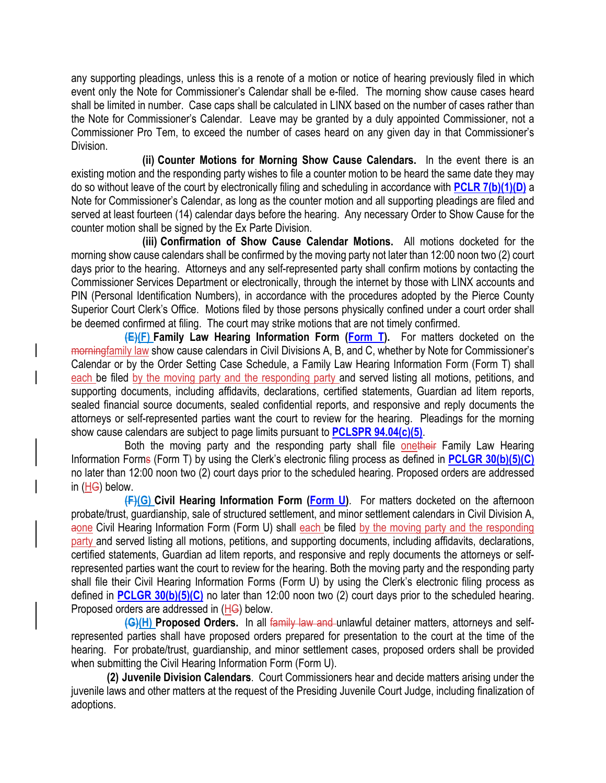any supporting pleadings, unless this is a renote of a motion or notice of hearing previously filed in which event only the Note for Commissioner's Calendar shall be e-filed. The morning show cause cases heard shall be limited in number. Case caps shall be calculated in LINX based on the number of cases rather than the Note for Commissioner's Calendar. Leave may be granted by a duly appointed Commissioner, not a Commissioner Pro Tem, to exceed the number of cases heard on any given day in that Commissioner's Division.

**(ii) Counter Motions for Morning Show Cause Calendars.** In the event there is an existing motion and the responding party wishes to file a counter motion to be heard the same date they may do so without leave of the court by electronically filing and scheduling in accordance with **PCLR 7(b)(1)(D)** a Note for Commissioner's Calendar, as long as the counter motion and all supporting pleadings are filed and served at least fourteen (14) calendar days before the hearing. Any necessary Order to Show Cause for the counter motion shall be signed by the Ex Parte Division.

**(iii) Confirmation of Show Cause Calendar Motions.** All motions docketed for the morning show cause calendars shall be confirmed by the moving party not later than 12:00 noon two (2) court days prior to the hearing. Attorneys and any self-represented party shall confirm motions by contacting the Commissioner Services Department or electronically, through the internet by those with LINX accounts and PIN (Personal Identification Numbers), in accordance with the procedures adopted by the Pierce County Superior Court Clerk's Office. Motions filed by those persons physically confined under a court order shall be deemed confirmed at filing. The court may strike motions that are not timely confirmed.

**(E)(F) Family Law Hearing Information Form (Form T).** For matters docketed on the morningfamily law show cause calendars in Civil Divisions A, B, and C, whether by Note for Commissioner's Calendar or by the Order Setting Case Schedule, a Family Law Hearing Information Form (Form T) shall each be filed by the moving party and the responding party and served listing all motions, petitions, and supporting documents, including affidavits, declarations, certified statements, Guardian ad litem reports, sealed financial source documents, sealed confidential reports, and responsive and reply documents the attorneys or self-represented parties want the court to review for the hearing. Pleadings for the morning show cause calendars are subject to page limits pursuant to **PCLSPR 94.04(c)(5)**.

Both the moving party and the responding party shall file onetheir Family Law Hearing Information Forms (Form T) by using the Clerk's electronic filing process as defined in **PCLGR 30(b)(5)(C)** no later than 12:00 noon two (2) court days prior to the scheduled hearing. Proposed orders are addressed in (HG) below.

**(F)(G) Civil Hearing Information Form (Form U)**. For matters docketed on the afternoon probate/trust, guardianship, sale of structured settlement, and minor settlement calendars in Civil Division A, aone Civil Hearing Information Form (Form U) shall each be filed by the moving party and the responding party and served listing all motions, petitions, and supporting documents, including affidavits, declarations, certified statements, Guardian ad litem reports, and responsive and reply documents the attorneys or selfrepresented parties want the court to review for the hearing. Both the moving party and the responding party shall file their Civil Hearing Information Forms (Form U) by using the Clerk's electronic filing process as defined in **PCLGR 30(b)(5)(C)** no later than 12:00 noon two (2) court days prior to the scheduled hearing. Proposed orders are addressed in (HG) below.

**(G)(H) Proposed Orders.** In all family law and unlawful detainer matters, attorneys and selfrepresented parties shall have proposed orders prepared for presentation to the court at the time of the hearing. For probate/trust, guardianship, and minor settlement cases, proposed orders shall be provided when submitting the Civil Hearing Information Form (Form U).

**(2) Juvenile Division Calendars**. Court Commissioners hear and decide matters arising under the juvenile laws and other matters at the request of the Presiding Juvenile Court Judge, including finalization of adoptions.